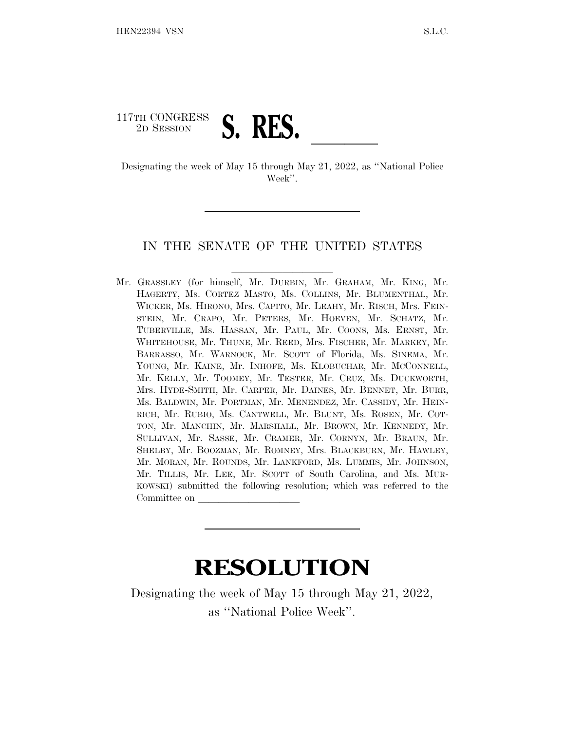## 117TH CONGRESS 2D SESSION **S. RES.**<br>Designating the week of May 15 through May 21, 2022, as "National Police

Week''.

## IN THE SENATE OF THE UNITED STATES

Mr. GRASSLEY (for himself, Mr. DURBIN, Mr. GRAHAM, Mr. KING, Mr. HAGERTY, Ms. CORTEZ MASTO, Ms. COLLINS, Mr. BLUMENTHAL, Mr. WICKER, Ms. HIRONO, Mrs. CAPITO, Mr. LEAHY, Mr. RISCH, Mrs. FEIN-STEIN, Mr. CRAPO, Mr. PETERS, Mr. HOEVEN, Mr. SCHATZ, Mr. TUBERVILLE, Ms. HASSAN, Mr. PAUL, Mr. COONS, Ms. ERNST, Mr. WHITEHOUSE, Mr. THUNE, Mr. REED, Mrs. FISCHER, Mr. MARKEY, Mr. BARRASSO, Mr. WARNOCK, Mr. SCOTT of Florida, Ms. SINEMA, Mr. YOUNG, Mr. KAINE, Mr. INHOFE, Ms. KLOBUCHAR, Mr. MCCONNELL, Mr. KELLY, Mr. TOOMEY, Mr. TESTER, Mr. CRUZ, Ms. DUCKWORTH, Mrs. HYDE-SMITH, Mr. CARPER, Mr. DAINES, Mr. BENNET, Mr. BURR, Ms. BALDWIN, Mr. PORTMAN, Mr. MENENDEZ, Mr. CASSIDY, Mr. HEIN-RICH, Mr. RUBIO, Ms. CANTWELL, Mr. BLUNT, Ms. ROSEN, Mr. COT-TON, Mr. MANCHIN, Mr. MARSHALL, Mr. BROWN, Mr. KENNEDY, Mr. SULLIVAN, Mr. SASSE, Mr. CRAMER, Mr. CORNYN, Mr. BRAUN, Mr. SHELBY, Mr. BOOZMAN, Mr. ROMNEY, Mrs. BLACKBURN, Mr. HAWLEY, Mr. MORAN, Mr. ROUNDS, Mr. LANKFORD, Ms. LUMMIS, Mr. JOHNSON, Mr. TILLIS, Mr. LEE, Mr. SCOTT of South Carolina, and Ms. MUR-KOWSKI) submitted the following resolution; which was referred to the Committee on

## **RESOLUTION**

Designating the week of May 15 through May 21, 2022, as ''National Police Week''.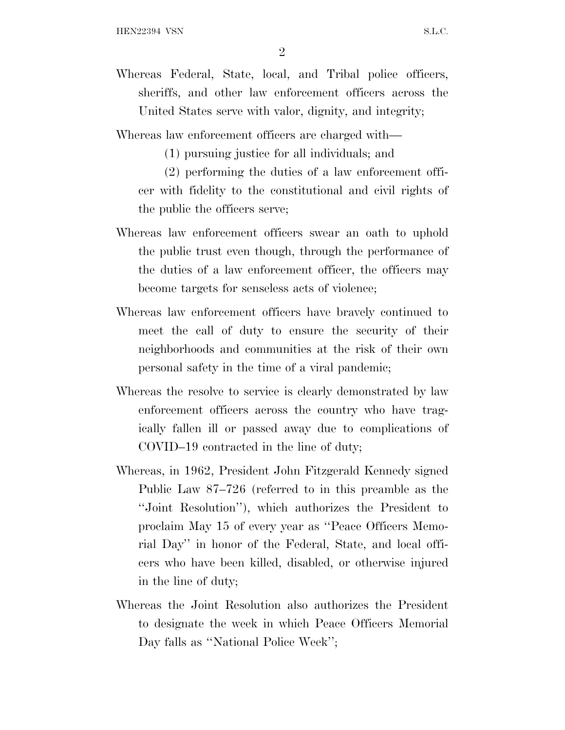2

- Whereas Federal, State, local, and Tribal police officers, sheriffs, and other law enforcement officers across the United States serve with valor, dignity, and integrity;
- Whereas law enforcement officers are charged with—
	- (1) pursuing justice for all individuals; and
	- (2) performing the duties of a law enforcement officer with fidelity to the constitutional and civil rights of the public the officers serve;
- Whereas law enforcement officers swear an oath to uphold the public trust even though, through the performance of the duties of a law enforcement officer, the officers may become targets for senseless acts of violence;
- Whereas law enforcement officers have bravely continued to meet the call of duty to ensure the security of their neighborhoods and communities at the risk of their own personal safety in the time of a viral pandemic;
- Whereas the resolve to service is clearly demonstrated by law enforcement officers across the country who have tragically fallen ill or passed away due to complications of COVID–19 contracted in the line of duty;
- Whereas, in 1962, President John Fitzgerald Kennedy signed Public Law 87–726 (referred to in this preamble as the ''Joint Resolution''), which authorizes the President to proclaim May 15 of every year as ''Peace Officers Memorial Day'' in honor of the Federal, State, and local officers who have been killed, disabled, or otherwise injured in the line of duty;
- Whereas the Joint Resolution also authorizes the President to designate the week in which Peace Officers Memorial Day falls as "National Police Week";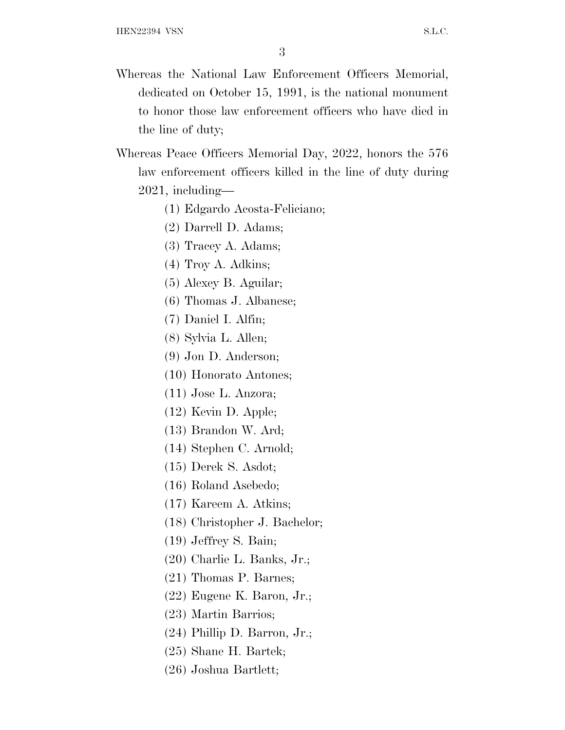- Whereas the National Law Enforcement Officers Memorial, dedicated on October 15, 1991, is the national monument to honor those law enforcement officers who have died in the line of duty;
- Whereas Peace Officers Memorial Day, 2022, honors the 576 law enforcement officers killed in the line of duty during 2021, including—
	- (1) Edgardo Acosta-Feliciano;
	- (2) Darrell D. Adams;
	- (3) Tracey A. Adams;
	- (4) Troy A. Adkins;
	- (5) Alexey B. Aguilar;
	- (6) Thomas J. Albanese;
	- (7) Daniel I. Alfin;
	- (8) Sylvia L. Allen;
	- (9) Jon D. Anderson;
	- (10) Honorato Antones;
	- (11) Jose L. Anzora;
	- (12) Kevin D. Apple;
	- (13) Brandon W. Ard;
	- (14) Stephen C. Arnold;
	- (15) Derek S. Asdot;
	- (16) Roland Asebedo;
	- (17) Kareem A. Atkins;
	- (18) Christopher J. Bachelor;
	- (19) Jeffrey S. Bain;
	- (20) Charlie L. Banks, Jr.;
	- (21) Thomas P. Barnes;
	- (22) Eugene K. Baron, Jr.;
	- (23) Martin Barrios;
	- (24) Phillip D. Barron, Jr.;
	- (25) Shane H. Bartek;
	- (26) Joshua Bartlett;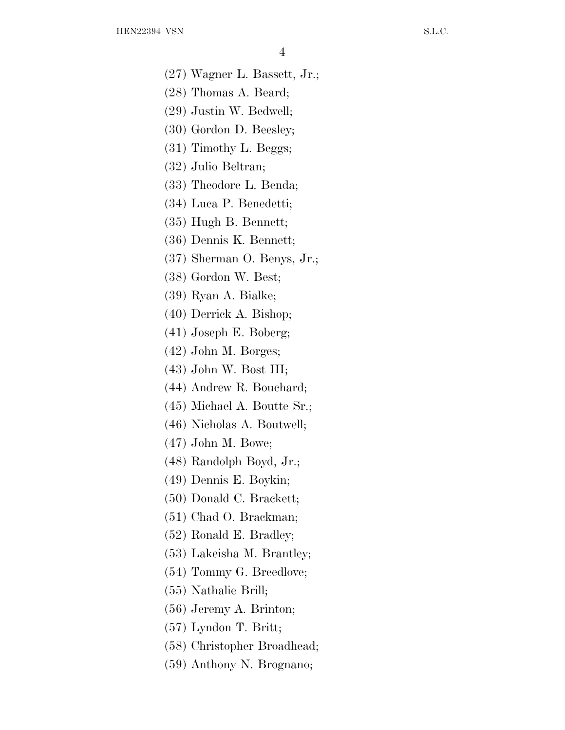- (27) Wagner L. Bassett, Jr.;
- (28) Thomas A. Beard;
- (29) Justin W. Bedwell;
- (30) Gordon D. Beesley;
- (31) Timothy L. Beggs;
- (32) Julio Beltran;
- (33) Theodore L. Benda;
- (34) Luca P. Benedetti;
- (35) Hugh B. Bennett;
- (36) Dennis K. Bennett;
- (37) Sherman O. Benys, Jr.;
- (38) Gordon W. Best;
- (39) Ryan A. Bialke;
- (40) Derrick A. Bishop;
- (41) Joseph E. Boberg;
- (42) John M. Borges;
- (43) John W. Bost III;
- (44) Andrew R. Bouchard;
- (45) Michael A. Boutte Sr.;
- (46) Nicholas A. Boutwell;
- (47) John M. Bowe;
- (48) Randolph Boyd, Jr.;
- (49) Dennis E. Boykin;
- (50) Donald C. Brackett;
- (51) Chad O. Brackman;
- (52) Ronald E. Bradley;
- (53) Lakeisha M. Brantley;
- (54) Tommy G. Breedlove;
- (55) Nathalie Brill;
- (56) Jeremy A. Brinton;
- (57) Lyndon T. Britt;
- (58) Christopher Broadhead;
- (59) Anthony N. Brognano;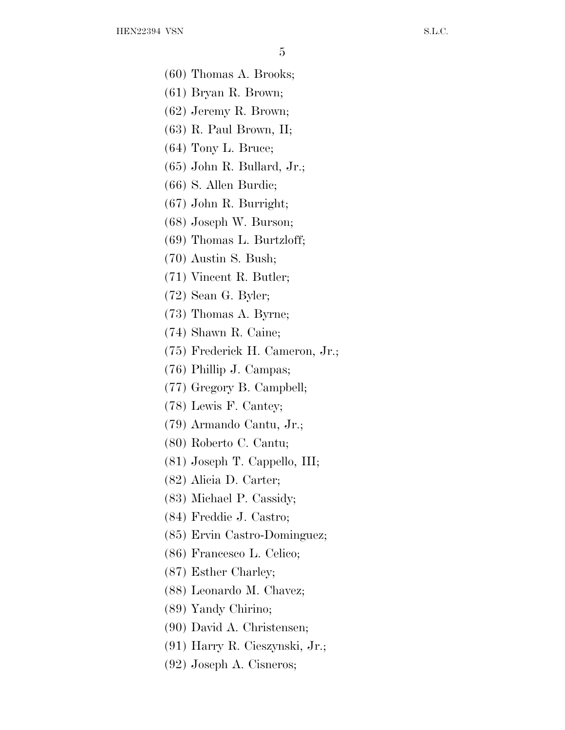- (60) Thomas A. Brooks;
- (61) Bryan R. Brown;
- (62) Jeremy R. Brown;
- (63) R. Paul Brown, II;
- (64) Tony L. Bruce;
- (65) John R. Bullard, Jr.;
- (66) S. Allen Burdic;
- (67) John R. Burright;
- (68) Joseph W. Burson;
- (69) Thomas L. Burtzloff;
- (70) Austin S. Bush;
- (71) Vincent R. Butler;
- (72) Sean G. Byler;
- (73) Thomas A. Byrne;
- (74) Shawn R. Caine;
- (75) Frederick H. Cameron, Jr.;
- (76) Phillip J. Campas;
- (77) Gregory B. Campbell;
- (78) Lewis F. Cantey;
- (79) Armando Cantu, Jr.;
- (80) Roberto C. Cantu;
- (81) Joseph T. Cappello, III;
- (82) Alicia D. Carter;
- (83) Michael P. Cassidy;
- (84) Freddie J. Castro;
- (85) Ervin Castro-Dominguez;
- (86) Francesco L. Celico;
- (87) Esther Charley;
- (88) Leonardo M. Chavez;
- (89) Yandy Chirino;
- (90) David A. Christensen;
- (91) Harry R. Cieszynski, Jr.;
- (92) Joseph A. Cisneros;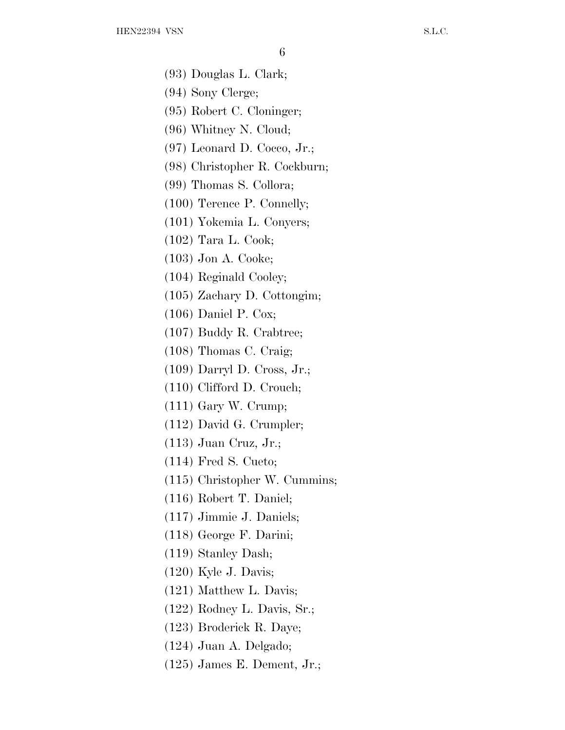- (93) Douglas L. Clark;
- (94) Sony Clerge;
- (95) Robert C. Cloninger;
- (96) Whitney N. Cloud;
- (97) Leonard D. Cocco, Jr.;
- (98) Christopher R. Cockburn;
- (99) Thomas S. Collora;
- (100) Terence P. Connelly;
- (101) Yokemia L. Conyers;
- (102) Tara L. Cook;
- (103) Jon A. Cooke;
- (104) Reginald Cooley;
- (105) Zachary D. Cottongim;
- (106) Daniel P. Cox;
- (107) Buddy R. Crabtree;
- (108) Thomas C. Craig;
- (109) Darryl D. Cross, Jr.;
- (110) Clifford D. Crouch;
- (111) Gary W. Crump;
- (112) David G. Crumpler;
- (113) Juan Cruz, Jr.;
- (114) Fred S. Cueto;
- (115) Christopher W. Cummins;
- (116) Robert T. Daniel;
- (117) Jimmie J. Daniels;
- (118) George F. Darini;
- (119) Stanley Dash;
- (120) Kyle J. Davis;
- (121) Matthew L. Davis;
- (122) Rodney L. Davis, Sr.;
- (123) Broderick R. Daye;
- (124) Juan A. Delgado;
- (125) James E. Dement, Jr.;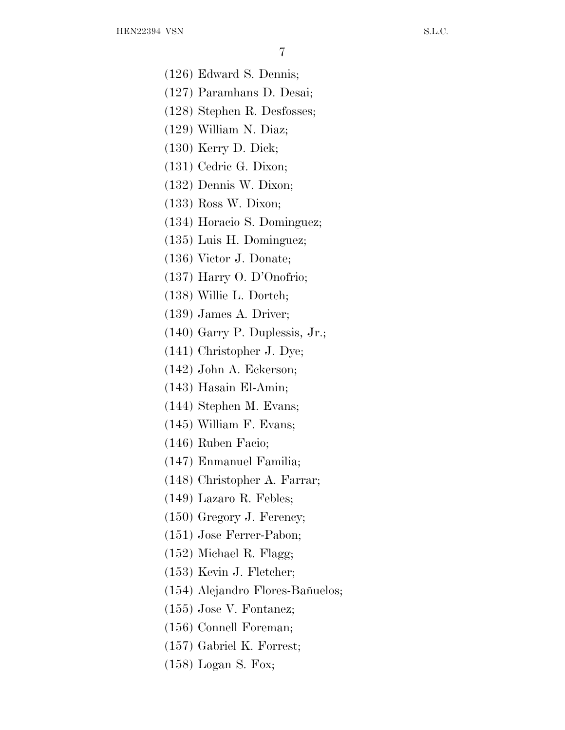(126) Edward S. Dennis;

- (127) Paramhans D. Desai;
- (128) Stephen R. Desfosses;
- (129) William N. Diaz;
- (130) Kerry D. Dick;
- (131) Cedric G. Dixon;
- (132) Dennis W. Dixon;
- (133) Ross W. Dixon;
- (134) Horacio S. Dominguez;
- (135) Luis H. Dominguez;
- (136) Victor J. Donate;
- (137) Harry O. D'Onofrio;
- (138) Willie L. Dortch;
- (139) James A. Driver;
- (140) Garry P. Duplessis, Jr.;
- (141) Christopher J. Dye;
- (142) John A. Eckerson;
- (143) Hasain El-Amin;
- (144) Stephen M. Evans;
- (145) William F. Evans;
- (146) Ruben Facio;
- (147) Enmanuel Familia;
- (148) Christopher A. Farrar;
- (149) Lazaro R. Febles;
- (150) Gregory J. Ferency;
- (151) Jose Ferrer-Pabon;
- (152) Michael R. Flagg;
- (153) Kevin J. Fletcher;
- (154) Alejandro Flores-Bañuelos;
- (155) Jose V. Fontanez;
- (156) Connell Foreman;
- (157) Gabriel K. Forrest;
- (158) Logan S. Fox;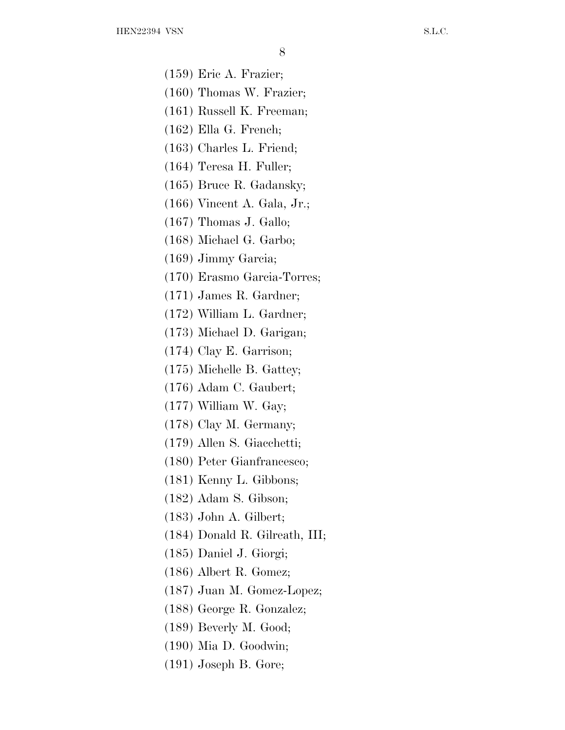(159) Eric A. Frazier;

- (160) Thomas W. Frazier;
- (161) Russell K. Freeman;
- (162) Ella G. French;
- (163) Charles L. Friend;
- (164) Teresa H. Fuller;
- (165) Bruce R. Gadansky;
- (166) Vincent A. Gala, Jr.;
- (167) Thomas J. Gallo;
- (168) Michael G. Garbo;
- (169) Jimmy Garcia;
- (170) Erasmo Garcia-Torres;
- (171) James R. Gardner;
- (172) William L. Gardner;
- (173) Michael D. Garigan;
- (174) Clay E. Garrison;
- (175) Michelle B. Gattey;
- (176) Adam C. Gaubert;
- (177) William W. Gay;
- (178) Clay M. Germany;
- (179) Allen S. Giacchetti;
- (180) Peter Gianfrancesco;
- (181) Kenny L. Gibbons;
- (182) Adam S. Gibson;
- (183) John A. Gilbert;
- (184) Donald R. Gilreath, III;
- (185) Daniel J. Giorgi;
- (186) Albert R. Gomez;
- (187) Juan M. Gomez-Lopez;
- (188) George R. Gonzalez;
- (189) Beverly M. Good;
- (190) Mia D. Goodwin;
- (191) Joseph B. Gore;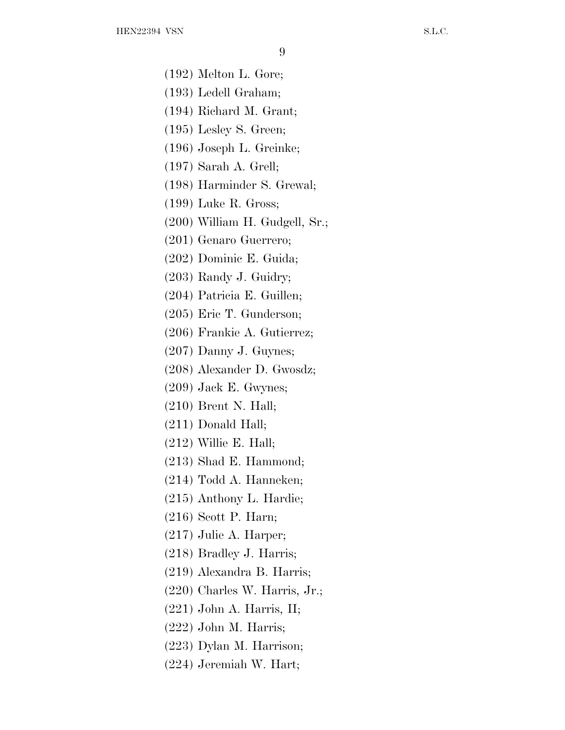(192) Melton L. Gore;

(193) Ledell Graham;

(194) Richard M. Grant;

(195) Lesley S. Green;

(196) Joseph L. Greinke;

(197) Sarah A. Grell;

(198) Harminder S. Grewal;

(199) Luke R. Gross;

(200) William H. Gudgell, Sr.;

(201) Genaro Guerrero;

(202) Dominic E. Guida;

(203) Randy J. Guidry;

(204) Patricia E. Guillen;

(205) Eric T. Gunderson;

(206) Frankie A. Gutierrez;

(207) Danny J. Guynes;

(208) Alexander D. Gwosdz;

(209) Jack E. Gwynes;

(210) Brent N. Hall;

(211) Donald Hall;

(212) Willie E. Hall;

(213) Shad E. Hammond;

(214) Todd A. Hanneken;

(215) Anthony L. Hardie;

(216) Scott P. Harn;

(217) Julie A. Harper;

(218) Bradley J. Harris;

(219) Alexandra B. Harris;

(220) Charles W. Harris, Jr.;

(221) John A. Harris, II;

(222) John M. Harris;

(223) Dylan M. Harrison;

(224) Jeremiah W. Hart;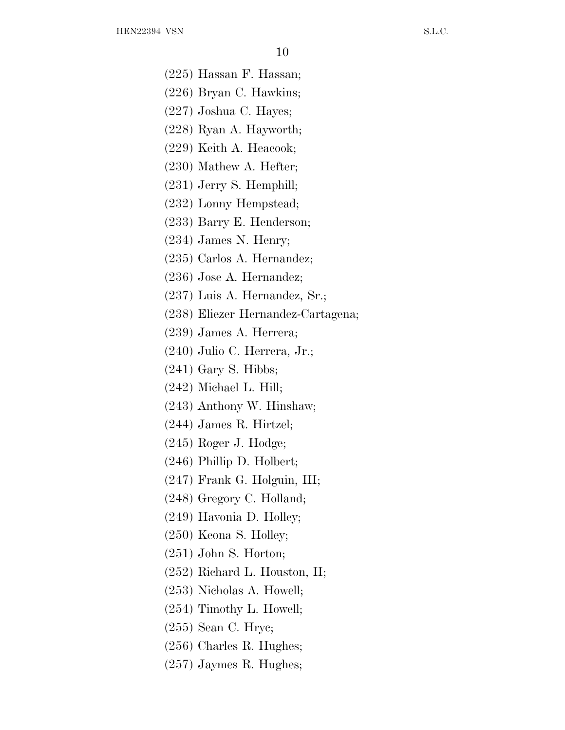(225) Hassan F. Hassan;

- (226) Bryan C. Hawkins;
- (227) Joshua C. Hayes;
- (228) Ryan A. Hayworth;
- (229) Keith A. Heacook;
- (230) Mathew A. Hefter;
- (231) Jerry S. Hemphill;
- (232) Lonny Hempstead;
- (233) Barry E. Henderson;
- (234) James N. Henry;
- (235) Carlos A. Hernandez;
- (236) Jose A. Hernandez;
- (237) Luis A. Hernandez, Sr.;
- (238) Eliezer Hernandez-Cartagena;
- (239) James A. Herrera;
- (240) Julio C. Herrera, Jr.;
- (241) Gary S. Hibbs;
- (242) Michael L. Hill;
- (243) Anthony W. Hinshaw;
- (244) James R. Hirtzel;
- (245) Roger J. Hodge;
- (246) Phillip D. Holbert;
- (247) Frank G. Holguin, III;
- (248) Gregory C. Holland;
- (249) Havonia D. Holley;
- (250) Keona S. Holley;
- (251) John S. Horton;
- (252) Richard L. Houston, II;
- (253) Nicholas A. Howell;
- (254) Timothy L. Howell;
- (255) Sean C. Hryc;
- (256) Charles R. Hughes;
- (257) Jaymes R. Hughes;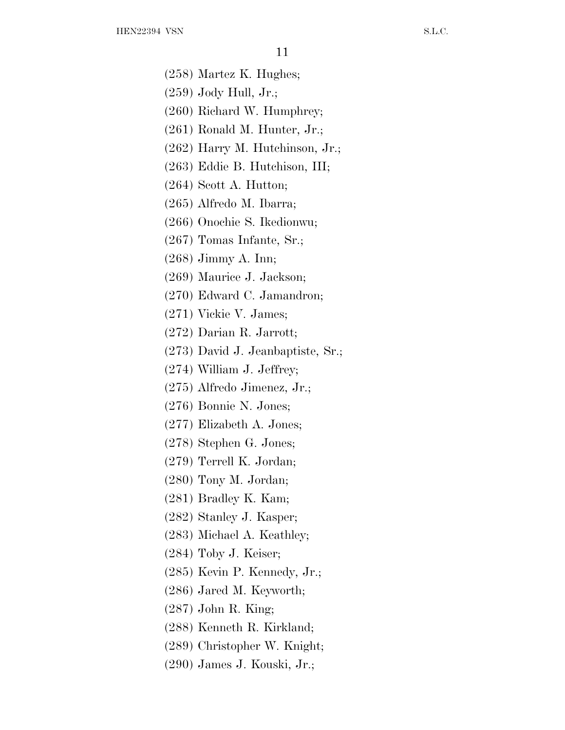(258) Martez K. Hughes;

- (259) Jody Hull, Jr.;
- (260) Richard W. Humphrey;
- (261) Ronald M. Hunter, Jr.;
- (262) Harry M. Hutchinson, Jr.;
- (263) Eddie B. Hutchison, III;
- (264) Scott A. Hutton;
- (265) Alfredo M. Ibarra;
- (266) Onochie S. Ikedionwu;
- (267) Tomas Infante, Sr.;
- (268) Jimmy A. Inn;
- (269) Maurice J. Jackson;
- (270) Edward C. Jamandron;
- (271) Vickie V. James;
- (272) Darian R. Jarrott;
- (273) David J. Jeanbaptiste, Sr.;
- (274) William J. Jeffrey;
- (275) Alfredo Jimenez, Jr.;
- (276) Bonnie N. Jones;
- (277) Elizabeth A. Jones;
- (278) Stephen G. Jones;
- (279) Terrell K. Jordan;
- (280) Tony M. Jordan;
- (281) Bradley K. Kam;
- (282) Stanley J. Kasper;
- (283) Michael A. Keathley;
- (284) Toby J. Keiser;
- (285) Kevin P. Kennedy, Jr.;
- (286) Jared M. Keyworth;
- (287) John R. King;
- (288) Kenneth R. Kirkland;
- (289) Christopher W. Knight;
- (290) James J. Kouski, Jr.;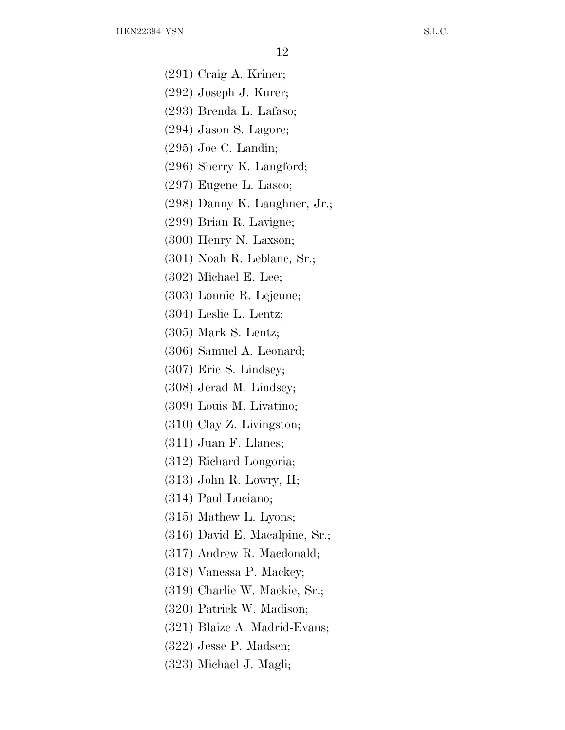- (291) Craig A. Kriner;
- (292) Joseph J. Kurer;
- (293) Brenda L. Lafaso;
- (294) Jason S. Lagore;
- (295) Joe C. Landin;
- (296) Sherry K. Langford;
- (297) Eugene L. Lasco;
- (298) Danny K. Laughner, Jr.;
- (299) Brian R. Lavigne;
- (300) Henry N. Laxson;
- (301) Noah R. Leblanc, Sr.;
- (302) Michael E. Lee;
- (303) Lonnie R. Lejeune;
- (304) Leslie L. Lentz;
- (305) Mark S. Lentz;
- (306) Samuel A. Leonard;
- (307) Eric S. Lindsey;
- (308) Jerad M. Lindsey;
- (309) Louis M. Livatino;
- (310) Clay Z. Livingston;
- (311) Juan F. Llanes;
- (312) Richard Longoria;
- (313) John R. Lowry, II;
- (314) Paul Luciano;
- (315) Mathew L. Lyons;
- (316) David E. Macalpine, Sr.;
- (317) Andrew R. Macdonald;
- (318) Vanessa P. Mackey;
- (319) Charlie W. Mackie, Sr.;
- (320) Patrick W. Madison;
- (321) Blaize A. Madrid-Evans;
- (322) Jesse P. Madsen;
- (323) Michael J. Magli;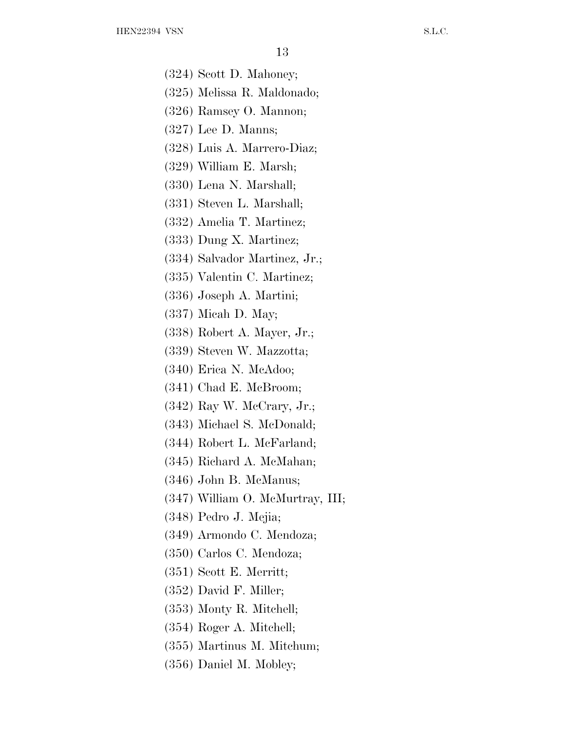(324) Scott D. Mahoney;

- (325) Melissa R. Maldonado;
- (326) Ramsey O. Mannon;
- (327) Lee D. Manns;
- (328) Luis A. Marrero-Diaz;
- (329) William E. Marsh;
- (330) Lena N. Marshall;
- (331) Steven L. Marshall;
- (332) Amelia T. Martinez;
- (333) Dung X. Martinez;
- (334) Salvador Martinez, Jr.;
- (335) Valentin C. Martinez;
- (336) Joseph A. Martini;
- (337) Micah D. May;
- (338) Robert A. Mayer, Jr.;
- (339) Steven W. Mazzotta;
- (340) Erica N. McAdoo;
- (341) Chad E. McBroom;
- (342) Ray W. McCrary, Jr.;
- (343) Michael S. McDonald;
- (344) Robert L. McFarland;
- (345) Richard A. McMahan;
- (346) John B. McManus;
- (347) William O. McMurtray, III;
- (348) Pedro J. Mejia;
- (349) Armondo C. Mendoza;
- (350) Carlos C. Mendoza;
- (351) Scott E. Merritt;
- (352) David F. Miller;
- (353) Monty R. Mitchell;
- (354) Roger A. Mitchell;
- (355) Martinus M. Mitchum;
- (356) Daniel M. Mobley;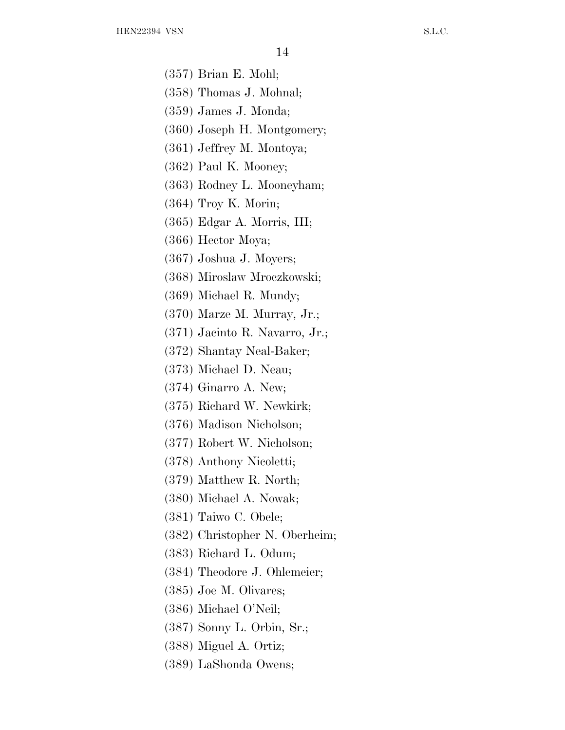(357) Brian E. Mohl;

- (358) Thomas J. Mohnal;
- (359) James J. Monda;
- (360) Joseph H. Montgomery;
- (361) Jeffrey M. Montoya;
- (362) Paul K. Mooney;
- (363) Rodney L. Mooneyham;
- (364) Troy K. Morin;
- (365) Edgar A. Morris, III;
- (366) Hector Moya;
- (367) Joshua J. Moyers;
- (368) Miroslaw Mroczkowski;
- (369) Michael R. Mundy;
- (370) Marze M. Murray, Jr.;
- (371) Jacinto R. Navarro, Jr.;
- (372) Shantay Neal-Baker;
- (373) Michael D. Neau;
- (374) Ginarro A. New;
- (375) Richard W. Newkirk;
- (376) Madison Nicholson;
- (377) Robert W. Nicholson;
- (378) Anthony Nicoletti;
- (379) Matthew R. North;
- (380) Michael A. Nowak;
- (381) Taiwo C. Obele;
- (382) Christopher N. Oberheim;
- (383) Richard L. Odum;
- (384) Theodore J. Ohlemeier;
- (385) Joe M. Olivares;
- (386) Michael O'Neil;
- (387) Sonny L. Orbin, Sr.;
- (388) Miguel A. Ortiz;
- (389) LaShonda Owens;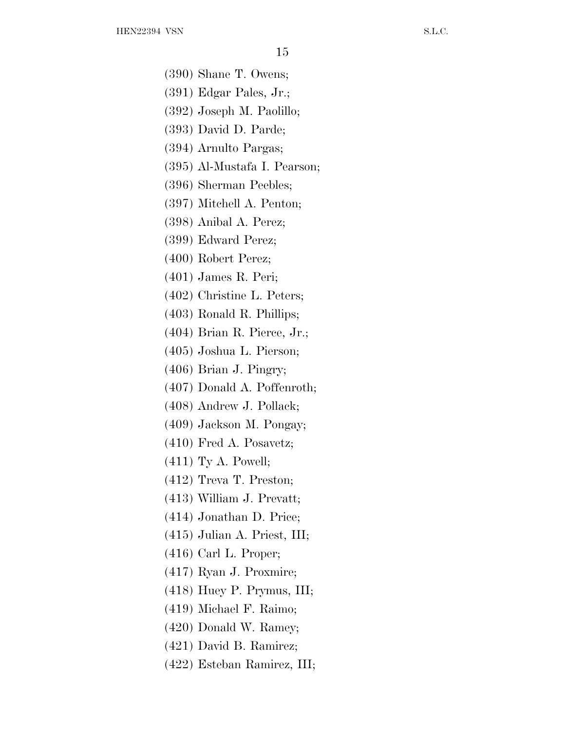(390) Shane T. Owens;

- (391) Edgar Pales, Jr.;
- (392) Joseph M. Paolillo;
- (393) David D. Parde;
- (394) Arnulto Pargas;
- (395) Al-Mustafa I. Pearson;
- (396) Sherman Peebles;
- (397) Mitchell A. Penton;
- (398) Anibal A. Perez;
- (399) Edward Perez;
- (400) Robert Perez;
- (401) James R. Peri;
- (402) Christine L. Peters;
- (403) Ronald R. Phillips;
- (404) Brian R. Pierce, Jr.;
- (405) Joshua L. Pierson;
- (406) Brian J. Pingry;
- (407) Donald A. Poffenroth;
- (408) Andrew J. Pollack;
- (409) Jackson M. Pongay;
- (410) Fred A. Posavetz;
- (411) Ty A. Powell;
- (412) Treva T. Preston;
- (413) William J. Prevatt;
- (414) Jonathan D. Price;
- (415) Julian A. Priest, III;
- (416) Carl L. Proper;
- (417) Ryan J. Proxmire;
- (418) Huey P. Prymus, III;
- (419) Michael F. Raimo;
- (420) Donald W. Ramey;
- (421) David B. Ramirez;
- (422) Esteban Ramirez, III;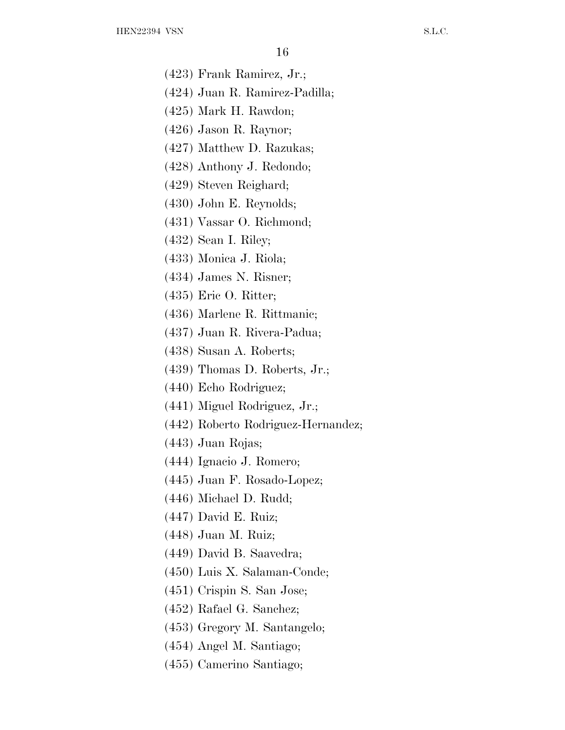- (423) Frank Ramirez, Jr.;
- (424) Juan R. Ramirez-Padilla;
- (425) Mark H. Rawdon;
- (426) Jason R. Raynor;
- (427) Matthew D. Razukas;
- (428) Anthony J. Redondo;
- (429) Steven Reighard;
- (430) John E. Reynolds;
- (431) Vassar O. Richmond;
- (432) Sean I. Riley;
- (433) Monica J. Riola;
- (434) James N. Risner;
- (435) Eric O. Ritter;
- (436) Marlene R. Rittmanic;
- (437) Juan R. Rivera-Padua;
- (438) Susan A. Roberts;
- (439) Thomas D. Roberts, Jr.;
- (440) Echo Rodriguez;
- (441) Miguel Rodriguez, Jr.;
- (442) Roberto Rodriguez-Hernandez;
- (443) Juan Rojas;
- (444) Ignacio J. Romero;
- (445) Juan F. Rosado-Lopez;
- (446) Michael D. Rudd;
- (447) David E. Ruiz;
- (448) Juan M. Ruiz;
- (449) David B. Saavedra;
- (450) Luis X. Salaman-Conde;
- (451) Crispin S. San Jose;
- (452) Rafael G. Sanchez;
- (453) Gregory M. Santangelo;
- (454) Angel M. Santiago;
- (455) Camerino Santiago;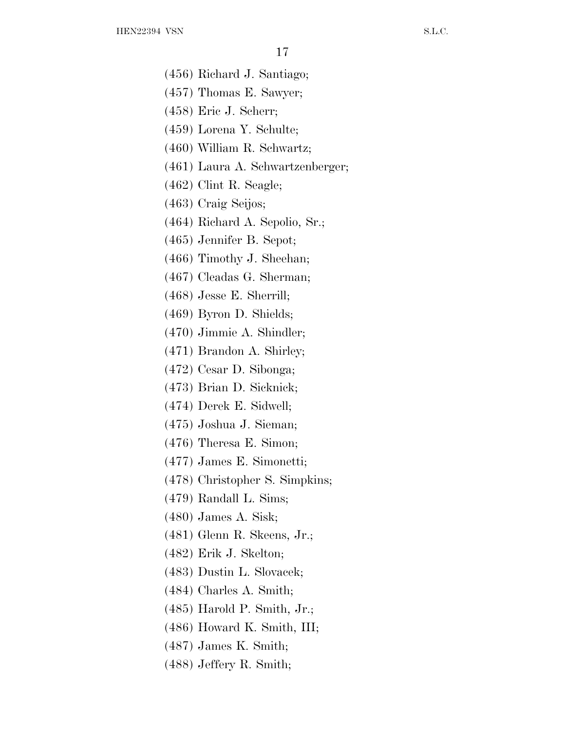(456) Richard J. Santiago;

- (457) Thomas E. Sawyer;
- (458) Eric J. Scherr;
- (459) Lorena Y. Schulte;
- (460) William R. Schwartz;
- (461) Laura A. Schwartzenberger;
- (462) Clint R. Seagle;
- (463) Craig Seijos;
- (464) Richard A. Sepolio, Sr.;
- (465) Jennifer B. Sepot;
- (466) Timothy J. Sheehan;
- (467) Cleadas G. Sherman;
- (468) Jesse E. Sherrill;
- (469) Byron D. Shields;
- (470) Jimmie A. Shindler;
- (471) Brandon A. Shirley;
- (472) Cesar D. Sibonga;
- (473) Brian D. Sicknick;
- (474) Derek E. Sidwell;
- (475) Joshua J. Sieman;
- (476) Theresa E. Simon;
- (477) James E. Simonetti;
- (478) Christopher S. Simpkins;
- (479) Randall L. Sims;
- (480) James A. Sisk;
- (481) Glenn R. Skeens, Jr.;
- (482) Erik J. Skelton;
- (483) Dustin L. Slovacek;
- (484) Charles A. Smith;
- (485) Harold P. Smith, Jr.;
- (486) Howard K. Smith, III;
- (487) James K. Smith;
- (488) Jeffery R. Smith;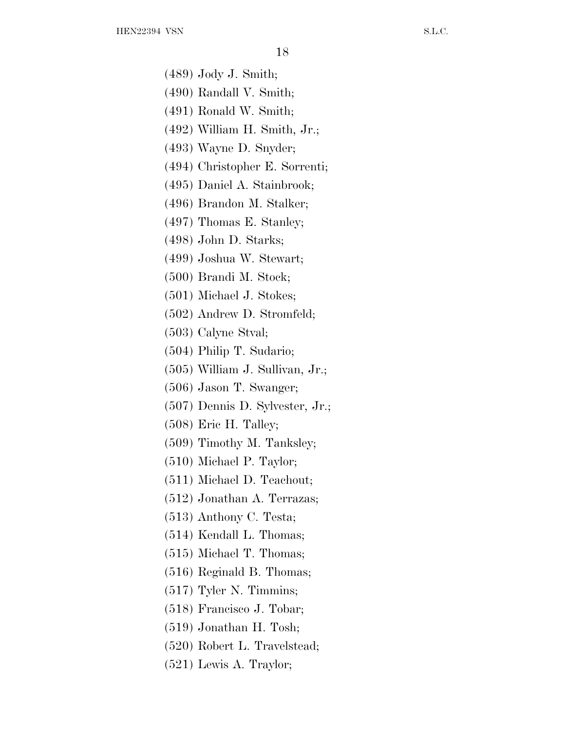(489) Jody J. Smith;

- (490) Randall V. Smith;
- (491) Ronald W. Smith;
- (492) William H. Smith, Jr.;
- (493) Wayne D. Snyder;
- (494) Christopher E. Sorrenti;
- (495) Daniel A. Stainbrook;
- (496) Brandon M. Stalker;
- (497) Thomas E. Stanley;
- (498) John D. Starks;
- (499) Joshua W. Stewart;
- (500) Brandi M. Stock;
- (501) Michael J. Stokes;
- (502) Andrew D. Stromfeld;
- (503) Calyne Stval;
- (504) Philip T. Sudario;
- (505) William J. Sullivan, Jr.;
- (506) Jason T. Swanger;
- (507) Dennis D. Sylvester, Jr.;
- (508) Eric H. Talley;
- (509) Timothy M. Tanksley;
- (510) Michael P. Taylor;
- (511) Michael D. Teachout;
- (512) Jonathan A. Terrazas;
- (513) Anthony C. Testa;
- (514) Kendall L. Thomas;
- (515) Michael T. Thomas;
- (516) Reginald B. Thomas;
- (517) Tyler N. Timmins;
- (518) Francisco J. Tobar;
- (519) Jonathan H. Tosh;
- (520) Robert L. Travelstead;
- (521) Lewis A. Traylor;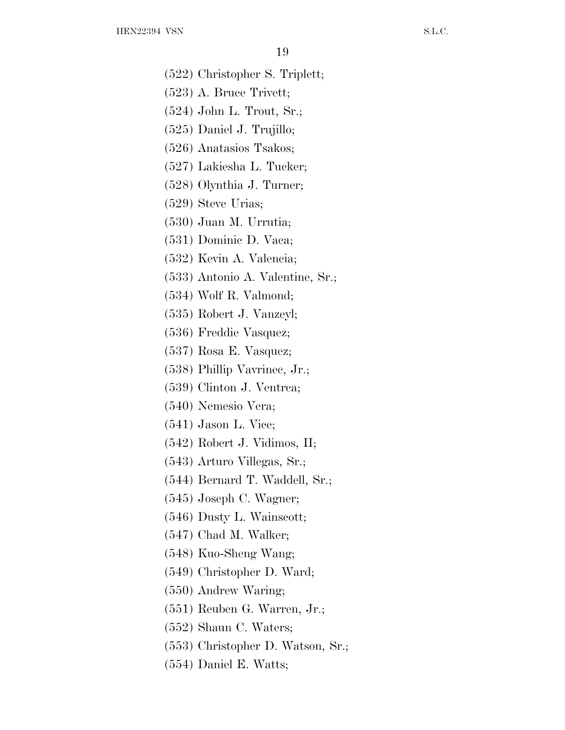- (522) Christopher S. Triplett;
- (523) A. Bruce Trivett;
- (524) John L. Trout, Sr.;
- (525) Daniel J. Trujillo;
- (526) Anatasios Tsakos;
- (527) Lakiesha L. Tucker;
- (528) Olynthia J. Turner;
- (529) Steve Urias;
- (530) Juan M. Urrutia;
- (531) Dominic D. Vaca;
- (532) Kevin A. Valencia;
- (533) Antonio A. Valentine, Sr.;
- (534) Wolf R. Valmond;
- (535) Robert J. Vanzeyl;
- (536) Freddie Vasquez;
- (537) Rosa E. Vasquez;
- (538) Phillip Vavrinec, Jr.;
- (539) Clinton J. Ventrca;
- (540) Nemesio Vera;
- (541) Jason L. Vice;
- (542) Robert J. Vidimos, II;
- (543) Arturo Villegas, Sr.;
- (544) Bernard T. Waddell, Sr.;
- (545) Joseph C. Wagner;
- (546) Dusty L. Wainscott;
- (547) Chad M. Walker;
- (548) Kuo-Sheng Wang;
- (549) Christopher D. Ward;
- (550) Andrew Waring;
- (551) Reuben G. Warren, Jr.;
- (552) Shaun C. Waters;
- (553) Christopher D. Watson, Sr.;
- (554) Daniel E. Watts;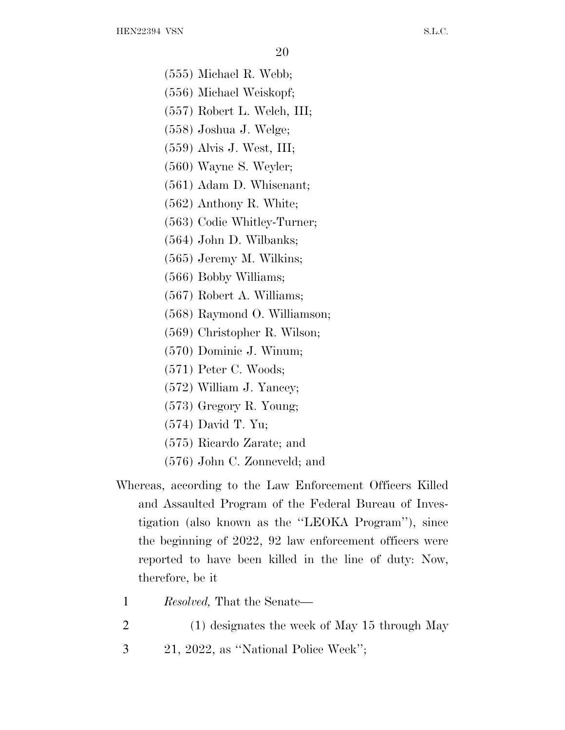(555) Michael R. Webb;

- (556) Michael Weiskopf;
- (557) Robert L. Welch, III;
- (558) Joshua J. Welge;
- (559) Alvis J. West, III;
- (560) Wayne S. Weyler;
- (561) Adam D. Whisenant;
- (562) Anthony R. White;
- (563) Codie Whitley-Turner;
- (564) John D. Wilbanks;
- (565) Jeremy M. Wilkins;
- (566) Bobby Williams;
- (567) Robert A. Williams;
- (568) Raymond O. Williamson;
- (569) Christopher R. Wilson;
- (570) Dominic J. Winum;
- (571) Peter C. Woods;
- (572) William J. Yancey;
- (573) Gregory R. Young;
- (574) David T. Yu;
- (575) Ricardo Zarate; and
- (576) John C. Zonneveld; and
- Whereas, according to the Law Enforcement Officers Killed and Assaulted Program of the Federal Bureau of Investigation (also known as the ''LEOKA Program''), since the beginning of 2022, 92 law enforcement officers were reported to have been killed in the line of duty: Now, therefore, be it
	- 1 *Resolved,* That the Senate—
	- 2 (1) designates the week of May 15 through May
	- 3 21, 2022, as ''National Police Week'';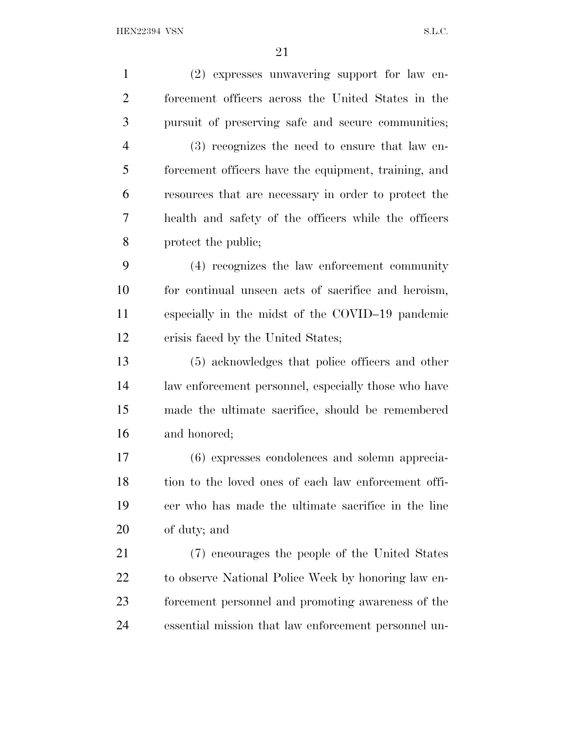| $\mathbf{1}$   | (2) expresses unwavering support for law en-         |
|----------------|------------------------------------------------------|
| $\overline{2}$ | forcement officers across the United States in the   |
| 3              | pursuit of preserving safe and secure communities;   |
| $\overline{4}$ | (3) recognizes the need to ensure that law en-       |
| 5              | forcement officers have the equipment, training, and |
| 6              | resources that are necessary in order to protect the |
| 7              | health and safety of the officers while the officers |
| 8              | protect the public;                                  |
| 9              | (4) recognizes the law enforcement community         |
| 10             | for continual unseen acts of sacrifice and heroism,  |
| 11             | especially in the midst of the COVID-19 pandemic     |
| 12             | crisis faced by the United States;                   |
| 13             | (5) acknowledges that police officers and other      |
| 14             | law enforcement personnel, especially those who have |
| 15             | made the ultimate sacrifice, should be remembered    |
| 16             | and honored;                                         |
| 17             | (6) expresses condolences and solemn apprecia-       |
| 18             | tion to the loved ones of each law enforcement offi- |
| 19             | cer who has made the ultimate sacrifice in the line  |
| 20             | of duty; and                                         |
| 21             | (7) encourages the people of the United States       |
| 22             | to observe National Police Week by honoring law en-  |
| 23             | forcement personnel and promoting awareness of the   |
| 24             | essential mission that law enforcement personnel un- |
|                |                                                      |